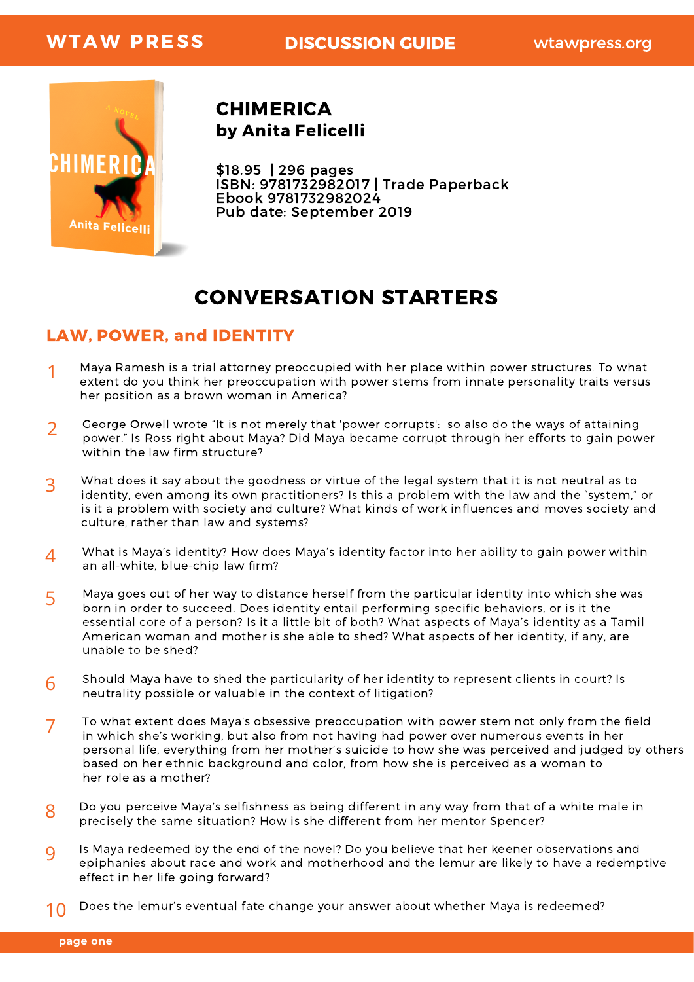

by Anita Felicelli CHIMERICA

\$18.95 | 296 pages ISBN: 9781732982017 | Trade Paperback Ebook 9781732982024 Pub date: September 2019

# CONVERSATION STARTERS

### LAW, POWER, and IDENTITY

- Maya Ramesh is a trial attorney preoccupied with her place within power structures. To what extent do you think her preoccupation with power stems from innate personality traits versus her position as a brown woman in America? 1
- George Orwell wrote "It is not merely that 'power corrupts': so also do the ways of attaining power." Is Ross right about Maya? Did Maya became corrupt through her efforts to gain power within the law firm structure? 2
- What does it say about the goodness or virtue of the legal system that it is not neutral as to identity, even among its own practitioners? Is this a problem with the law and the "system," or is it a problem with society and culture? What kinds of work influences and moves society and culture, rather than law and systems? 3
- What is Maya's identity? How does Maya's identity factor into her ability to gain power within an all-white, blue-chip law firm? 4
- Maya goes out of her way to distance herself from the particular identity into which she was born in order to succeed. Does identity entail performing specific behaviors, or is it the essential core of a person? Is it a little bit of both? What aspects of Maya's identity as a Tamil American woman and mother is she able to shed? What aspects of her identity, if any, are unable to be shed? 5
- Should Maya have to shed the particularity of her identity to represent clients in court? Is neutrality possible or valuable in the context of litigation? 6
- To what extent does Maya's obsessive preoccupation with power stem not only from the field in which she's working, but also from not having had power over numerous events in her personal life, everything from her mother's suicide to how she was perceived and judged by others based on her ethnic background and color, from how she is perceived as a woman to her role as a mother? 7
- Do you perceive Maya's selfishness as being different in any way from that of a white male in precisely the same situation? How is she different from her mentor Spencer? 8
- Is Maya redeemed by the end of the novel? Do you believe that her keener observations and epiphanies about race and work and motherhood and the lemur are likely to have a redemptive effect in her life going forward? 9
- Does the lemur's eventual fate change your answer about whether Maya is redeemed? 10